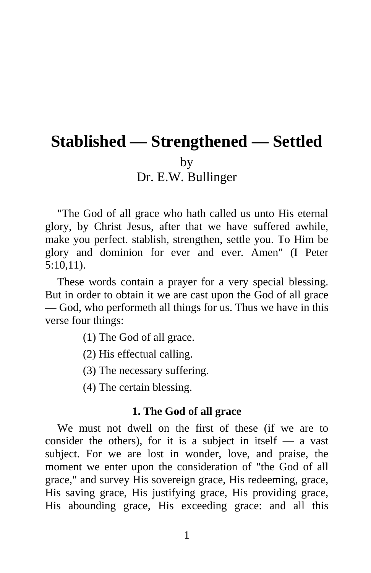# **Stablished — Strengthened — Settled**  by Dr. E.W. Bullinger

"The God of all grace who hath called us unto His eternal glory, by Christ Jesus, after that we have suffered awhile, make you perfect. stablish, strengthen, settle you. To Him be glory and dominion for ever and ever. Amen" (I Peter 5:10,11).

These words contain a prayer for a very special blessing. But in order to obtain it we are cast upon the God of all grace — God, who performeth all things for us. Thus we have in this verse four things:

- (1) The God of all grace.
- (2) His effectual calling.
- (3) The necessary suffering.
- (4) The certain blessing.

#### **1. The God of all grace**

We must not dwell on the first of these (if we are to consider the others), for it is a subject in itself  $-$  a vast subject. For we are lost in wonder, love, and praise, the moment we enter upon the consideration of "the God of all grace," and survey His sovereign grace, His redeeming, grace, His saving grace, His justifying grace, His providing grace, His abounding grace, His exceeding grace: and all this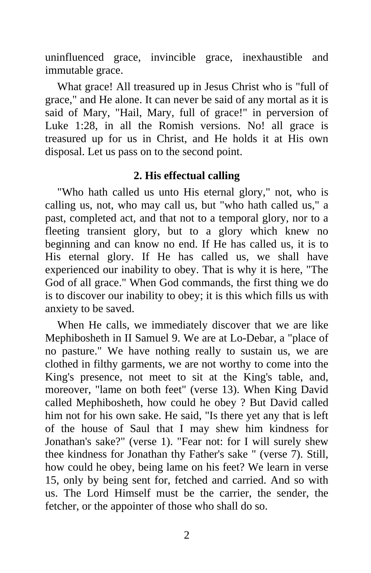uninfluenced grace, invincible grace, inexhaustible and immutable grace.

What grace! All treasured up in Jesus Christ who is "full of grace," and He alone. It can never be said of any mortal as it is said of Mary, "Hail, Mary, full of grace!" in perversion of Luke 1:28, in all the Romish versions. No! all grace is treasured up for us in Christ, and He holds it at His own disposal. Let us pass on to the second point.

### **2. His effectual calling**

"Who hath called us unto His eternal glory," not, who is calling us, not, who may call us, but "who hath called us," a past, completed act, and that not to a temporal glory, nor to a fleeting transient glory, but to a glory which knew no beginning and can know no end. If He has called us, it is to His eternal glory. If He has called us, we shall have experienced our inability to obey. That is why it is here, "The God of all grace." When God commands, the first thing we do is to discover our inability to obey; it is this which fills us with anxiety to be saved.

When He calls, we immediately discover that we are like Mephibosheth in II Samuel 9. We are at Lo-Debar, a "place of no pasture." We have nothing really to sustain us, we are clothed in filthy garments, we are not worthy to come into the King's presence, not meet to sit at the King's table, and, moreover, "lame on both feet" (verse 13). When King David called Mephibosheth, how could he obey ? But David called him not for his own sake. He said, "Is there yet any that is left of the house of Saul that I may shew him kindness for Jonathan's sake?" (verse 1). "Fear not: for I will surely shew thee kindness for Jonathan thy Father's sake " (verse 7). Still, how could he obey, being lame on his feet? We learn in verse 15, only by being sent for, fetched and carried. And so with us. The Lord Himself must be the carrier, the sender, the fetcher, or the appointer of those who shall do so.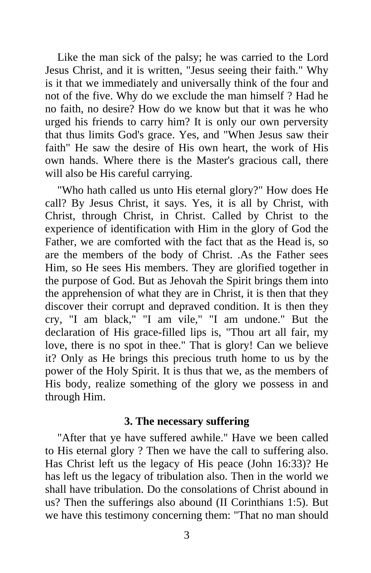Like the man sick of the palsy; he was carried to the Lord Jesus Christ, and it is written, "Jesus seeing their faith." Why is it that we immediately and universally think of the four and not of the five. Why do we exclude the man himself ? Had he no faith, no desire? How do we know but that it was he who urged his friends to carry him? It is only our own perversity that thus limits God's grace. Yes, and "When Jesus saw their faith" He saw the desire of His own heart, the work of His own hands. Where there is the Master's gracious call, there will also be His careful carrying.

"Who hath called us unto His eternal glory?" How does He call? By Jesus Christ, it says. Yes, it is all by Christ, with Christ, through Christ, in Christ. Called by Christ to the experience of identification with Him in the glory of God the Father, we are comforted with the fact that as the Head is, so are the members of the body of Christ. .As the Father sees Him, so He sees His members. They are glorified together in the purpose of God. But as Jehovah the Spirit brings them into the apprehension of what they are in Christ, it is then that they discover their corrupt and depraved condition. It is then they cry, "I am black," "I am vile," "I am undone." But the declaration of His grace-filled lips is, "Thou art all fair, my love, there is no spot in thee." That is glory! Can we believe it? Only as He brings this precious truth home to us by the power of the Holy Spirit. It is thus that we, as the members of His body, realize something of the glory we possess in and through Him.

#### **3. The necessary suffering**

"After that ye have suffered awhile." Have we been called to His eternal glory ? Then we have the call to suffering also. Has Christ left us the legacy of His peace (John 16:33)? He has left us the legacy of tribulation also. Then in the world we shall have tribulation. Do the consolations of Christ abound in us? Then the sufferings also abound (II Corinthians 1:5). But we have this testimony concerning them: "That no man should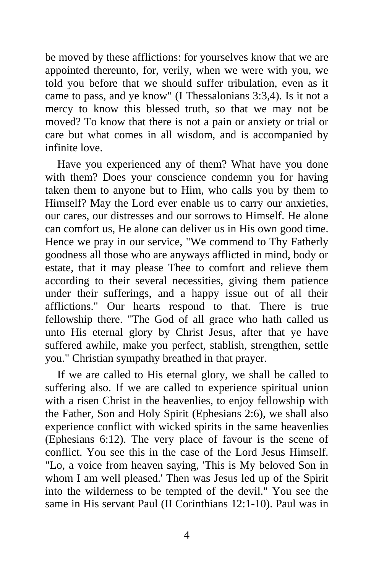be moved by these afflictions: for yourselves know that we are appointed thereunto, for, verily, when we were with you, we told you before that we should suffer tribulation, even as it came to pass, and ye know" (I Thessalonians 3:3,4). Is it not a mercy to know this blessed truth, so that we may not be moved? To know that there is not a pain or anxiety or trial or care but what comes in all wisdom, and is accompanied by infinite love.

Have you experienced any of them? What have you done with them? Does your conscience condemn you for having taken them to anyone but to Him, who calls you by them to Himself? May the Lord ever enable us to carry our anxieties, our cares, our distresses and our sorrows to Himself. He alone can comfort us, He alone can deliver us in His own good time. Hence we pray in our service, "We commend to Thy Fatherly goodness all those who are anyways afflicted in mind, body or estate, that it may please Thee to comfort and relieve them according to their several necessities, giving them patience under their sufferings, and a happy issue out of all their afflictions." Our hearts respond to that. There is true fellowship there. "The God of all grace who hath called us unto His eternal glory by Christ Jesus, after that ye have suffered awhile, make you perfect, stablish, strengthen, settle you." Christian sympathy breathed in that prayer.

If we are called to His eternal glory, we shall be called to suffering also. If we are called to experience spiritual union with a risen Christ in the heavenlies, to enjoy fellowship with the Father, Son and Holy Spirit (Ephesians 2:6), we shall also experience conflict with wicked spirits in the same heavenlies (Ephesians 6:12). The very place of favour is the scene of conflict. You see this in the case of the Lord Jesus Himself. "Lo, a voice from heaven saying, 'This is My beloved Son in whom I am well pleased.' Then was Jesus led up of the Spirit into the wilderness to be tempted of the devil." You see the same in His servant Paul (II Corinthians 12:1-10). Paul was in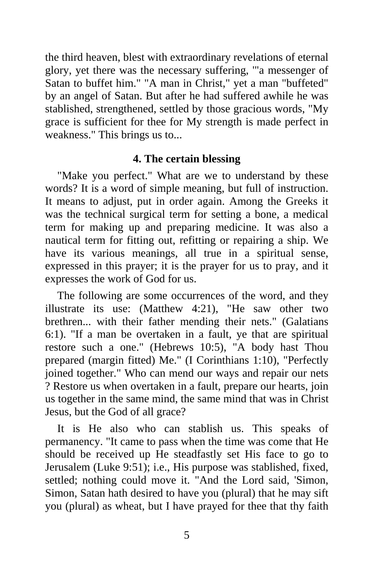the third heaven, blest with extraordinary revelations of eternal glory, yet there was the necessary suffering, '"a messenger of Satan to buffet him." "A man in Christ," yet a man "buffeted" by an angel of Satan. But after he had suffered awhile he was stablished, strengthened, settled by those gracious words, "My grace is sufficient for thee for My strength is made perfect in weakness." This brings us to...

## **4. The certain blessing**

"Make you perfect." What are we to understand by these words? It is a word of simple meaning, but full of instruction. It means to adjust, put in order again. Among the Greeks it was the technical surgical term for setting a bone, a medical term for making up and preparing medicine. It was also a nautical term for fitting out, refitting or repairing a ship. We have its various meanings, all true in a spiritual sense, expressed in this prayer; it is the prayer for us to pray, and it expresses the work of God for us.

The following are some occurrences of the word, and they illustrate its use: (Matthew 4:21), "He saw other two brethren... with their father mending their nets." (Galatians 6:1). "If a man be overtaken in a fault, ye that are spiritual restore such a one." (Hebrews 10:5), "A body hast Thou prepared (margin fitted) Me." (I Corinthians 1:10), "Perfectly joined together." Who can mend our ways and repair our nets ? Restore us when overtaken in a fault, prepare our hearts, join us together in the same mind, the same mind that was in Christ Jesus, but the God of all grace?

It is He also who can stablish us. This speaks of permanency. "It came to pass when the time was come that He should be received up He steadfastly set His face to go to Jerusalem (Luke 9:51); i.e., His purpose was stablished, fixed, settled; nothing could move it. "And the Lord said, 'Simon, Simon, Satan hath desired to have you (plural) that he may sift you (plural) as wheat, but I have prayed for thee that thy faith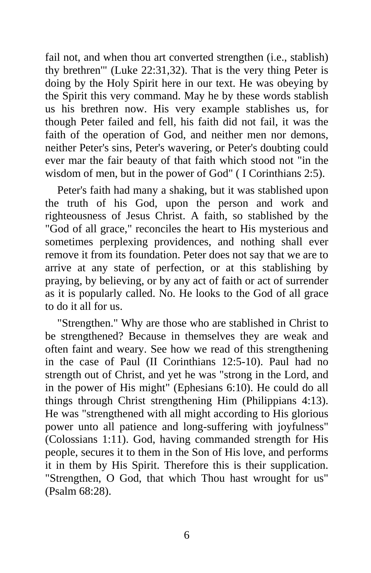fail not, and when thou art converted strengthen (i.e., stablish) thy brethren'" (Luke 22:31,32). That is the very thing Peter is doing by the Holy Spirit here in our text. He was obeying by the Spirit this very command. May he by these words stablish us his brethren now. His very example stablishes us, for though Peter failed and fell, his faith did not fail, it was the faith of the operation of God, and neither men nor demons, neither Peter's sins, Peter's wavering, or Peter's doubting could ever mar the fair beauty of that faith which stood not "in the wisdom of men, but in the power of God" ( I Corinthians 2:5).

Peter's faith had many a shaking, but it was stablished upon the truth of his God, upon the person and work and righteousness of Jesus Christ. A faith, so stablished by the "God of all grace," reconciles the heart to His mysterious and sometimes perplexing providences, and nothing shall ever remove it from its foundation. Peter does not say that we are to arrive at any state of perfection, or at this stablishing by praying, by believing, or by any act of faith or act of surrender as it is popularly called. No. He looks to the God of all grace to do it all for us.

"Strengthen." Why are those who are stablished in Christ to be strengthened? Because in themselves they are weak and often faint and weary. See how we read of this strengthening in the case of Paul (II Corinthians 12:5-10). Paul had no strength out of Christ, and yet he was "strong in the Lord, and in the power of His might" (Ephesians 6:10). He could do all things through Christ strengthening Him (Philippians 4:13). He was "strengthened with all might according to His glorious power unto all patience and long-suffering with joyfulness" (Colossians 1:11). God, having commanded strength for His people, secures it to them in the Son of His love, and performs it in them by His Spirit. Therefore this is their supplication. "Strengthen, O God, that which Thou hast wrought for us" (Psalm 68:28).